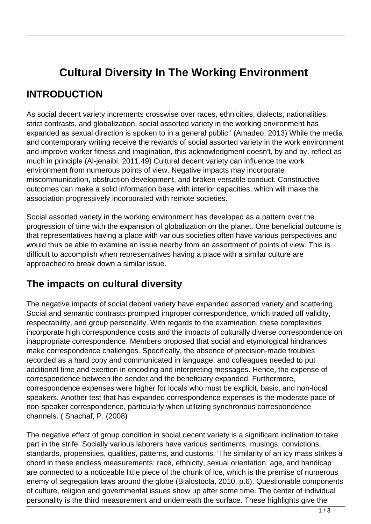# **Cultural Diversity In The Working Environment**

#### **INTRODUCTION**

As social decent variety increments crosswise over races, ethnicities, dialects, nationalities, strict contrasts, and globalization, social assorted variety in the working environment has expanded as sexual direction is spoken to in a general public.' (Amadeo, 2013) While the media and contemporary writing receive the rewards of social assorted variety in the work environment and improve worker fitness and imagination, this acknowledgment doesn't, by and by, reflect as much in principle (Al-jenaibi, 2011.49) Cultural decent variety can influence the work environment from numerous points of view. Negative impacts may incorporate miscommunication, obstruction development, and broken versatile conduct. Constructive outcomes can make a solid information base with interior capacities, which will make the association progressively incorporated with remote societies.

Social assorted variety in the working environment has developed as a pattern over the progression of time with the expansion of globalization on the planet. One beneficial outcome is that representatives having a place with various societies often have various perspectives and would thus be able to examine an issue nearby from an assortment of points of view. This is difficult to accomplish when representatives having a place with a similar culture are approached to break down a similar issue.

### **The impacts on cultural diversity**

The negative impacts of social decent variety have expanded assorted variety and scattering. Social and semantic contrasts prompted improper correspondence, which traded off validity, respectability, and group personality. With regards to the examination, these complexities incorporate high correspondence costs and the impacts of culturally diverse correspondence on inappropriate correspondence. Members proposed that social and etymological hindrances make correspondence challenges. Specifically, the absence of precision-made troubles recorded as a hard copy and communicated in language, and colleagues needed to put additional time and exertion in encoding and interpreting messages. Hence, the expense of correspondence between the sender and the beneficiary expanded. Furthermore, correspondence expenses were higher for locals who must be explicit, basic, and non-local speakers. Another test that has expanded correspondence expenses is the moderate pace of non-speaker correspondence, particularly when utilizing synchronous correspondence channels. ( Shachaf, P. (2008)

The negative effect of group condition in social decent variety is a significant inclination to take part in the strife. Socially various laborers have various sentiments, musings, convictions, standards, propensities, qualities, patterns, and customs. 'The similarity of an icy mass strikes a chord in these endless measurements; race, ethnicity, sexual orientation, age, and handicap are connected to a noticeable little piece of the chunk of ice, which is the premise of numerous enemy of segregation laws around the globe (Bialostocla, 2010, p.6). Questionable components of culture, religion and governmental issues show up after some time. The center of individual personality is the third measurement and underneath the surface. These highlights give the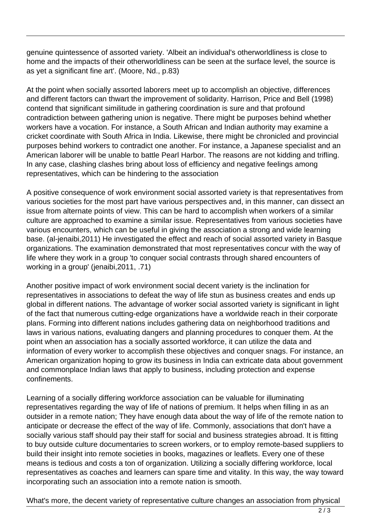genuine quintessence of assorted variety. 'Albeit an individual's otherworldliness is close to home and the impacts of their otherworldliness can be seen at the surface level, the source is as yet a significant fine art'. (Moore, Nd., p.83)

At the point when socially assorted laborers meet up to accomplish an objective, differences and different factors can thwart the improvement of solidarity. Harrison, Price and Bell (1998) contend that significant similitude in gathering coordination is sure and that profound contradiction between gathering union is negative. There might be purposes behind whether workers have a vocation. For instance, a South African and Indian authority may examine a cricket coordinate with South Africa in India. Likewise, there might be chronicled and provincial purposes behind workers to contradict one another. For instance, a Japanese specialist and an American laborer will be unable to battle Pearl Harbor. The reasons are not kidding and trifling. In any case, clashing clashes bring about loss of efficiency and negative feelings among representatives, which can be hindering to the association

A positive consequence of work environment social assorted variety is that representatives from various societies for the most part have various perspectives and, in this manner, can dissect an issue from alternate points of view. This can be hard to accomplish when workers of a similar culture are approached to examine a similar issue. Representatives from various societies have various encounters, which can be useful in giving the association a strong and wide learning base. (al-jenaibi,2011) He investigated the effect and reach of social assorted variety in Basque organizations. The examination demonstrated that most representatives concur with the way of life where they work in a group 'to conquer social contrasts through shared encounters of working in a group' (jenaibi,2011, .71)

Another positive impact of work environment social decent variety is the inclination for representatives in associations to defeat the way of life stun as business creates and ends up global in different nations. The advantage of worker social assorted variety is significant in light of the fact that numerous cutting-edge organizations have a worldwide reach in their corporate plans. Forming into different nations includes gathering data on neighborhood traditions and laws in various nations, evaluating dangers and planning procedures to conquer them. At the point when an association has a socially assorted workforce, it can utilize the data and information of every worker to accomplish these objectives and conquer snags. For instance, an American organization hoping to grow its business in India can extricate data about government and commonplace Indian laws that apply to business, including protection and expense confinements.

Learning of a socially differing workforce association can be valuable for illuminating representatives regarding the way of life of nations of premium. It helps when filling in as an outsider in a remote nation; They have enough data about the way of life of the remote nation to anticipate or decrease the effect of the way of life. Commonly, associations that don't have a socially various staff should pay their staff for social and business strategies abroad. It is fitting to buy outside culture documentaries to screen workers, or to employ remote-based suppliers to build their insight into remote societies in books, magazines or leaflets. Every one of these means is tedious and costs a ton of organization. Utilizing a socially differing workforce, local representatives as coaches and learners can spare time and vitality. In this way, the way toward incorporating such an association into a remote nation is smooth.

What's more, the decent variety of representative culture changes an association from physical